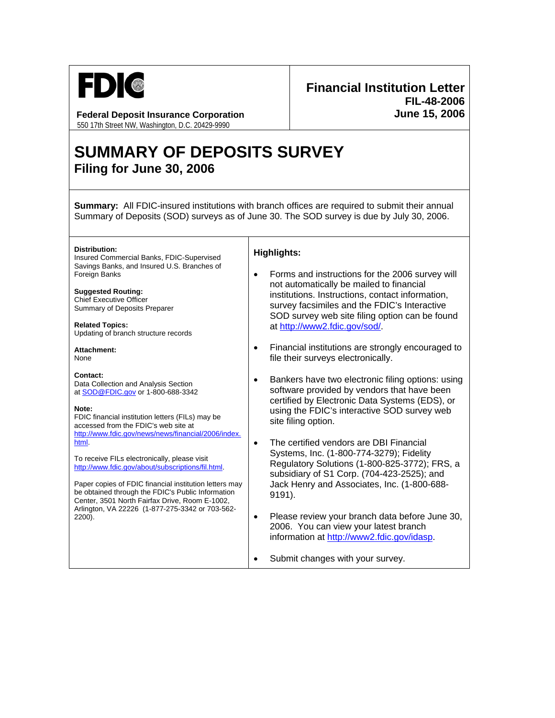

## **Federal Deposit Insurance Corporation**

550 17th Street NW, Washington, D.C. 20429-9990

# **Financial Institution Letter FIL-48-2006 June 15, 2006**

# **SUMMARY OF DEPOSITS SURVEY Filing for June 30, 2006**

**Summary:** All FDIC-insured institutions with branch offices are required to submit their annual Summary of Deposits (SOD) surveys as of June 30. The SOD survey is due by July 30, 2006.

**Distribution:**  Insured Commercial Banks, FDIC-Supervised Savings Banks, and Insured U.S. Branches of Foreign Banks

**Suggested Routing:**  Chief Executive Officer Summary of Deposits Preparer

**Related Topics:**  Updating of branch structure records

**Attachment:**  None

#### **Contact:**

Data Collection and Analysis Section at SOD@FDIC.gov or 1-800-688-3342

#### **Note:**

FDIC financial institution letters (FILs) may be accessed from the FDIC's web site at http://www.fdic.gov/news/news/financial/2006/index. html.

To receive FILs electronically, please visit http://www.fdic.gov/about/subscriptions/fil.html.

Paper copies of FDIC financial institution letters may be obtained through the FDIC's Public Information Center, 3501 North Fairfax Drive, Room E-1002, Arlington, VA 22226 (1-877-275-3342 or 703-562- 2200).

### **Highlights:**

- Forms and instructions for the 2006 survey will not automatically be mailed to financial institutions. Instructions, contact information, survey facsimiles and the FDIC's Interactive SOD survey web site filing option can be found at http://www2.fdic.gov/sod/.
- Financial institutions are strongly encouraged to file their surveys electronically.
- Bankers have two electronic filing options: using software provided by vendors that have been certified by Electronic Data Systems (EDS), or using the FDIC's interactive SOD survey web site filing option.
- The certified vendors are DBI Financial Systems, Inc. (1-800-774-3279); Fidelity Regulatory Solutions (1-800-825-3772); FRS, a subsidiary of S1 Corp. (704-423-2525); and Jack Henry and Associates, Inc. (1-800-688- 9191).
- Please review your branch data before June 30, 2006. You can view your latest branch information at http://www2.fdic.gov/idasp.
- Submit changes with your survey.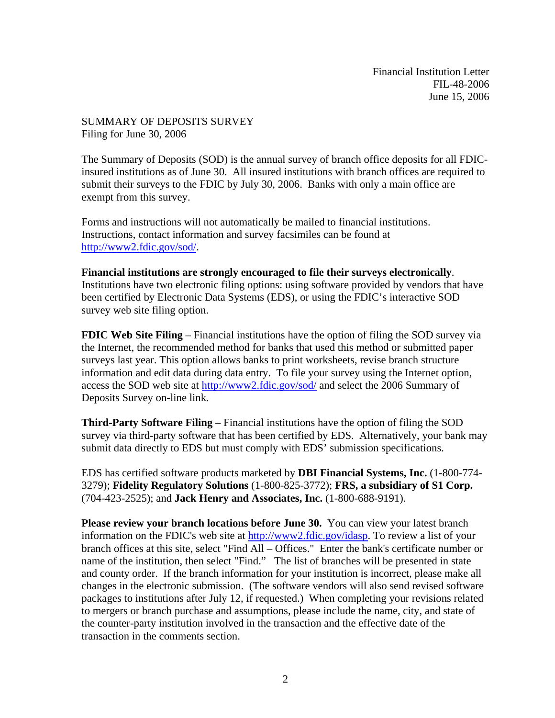Financial Institution Letter FIL-48-2006 June 15, 2006

SUMMARY OF DEPOSITS SURVEY Filing for June 30, 2006

survey web site filing option.

The Summary of Deposits (SOD) is the annual survey of branch office deposits for all FDICinsured institutions as of June 30. All insured institutions with branch offices are required to submit their surveys to the FDIC by July 30, 2006. Banks with only a main office are exempt from this survey.

Forms and instructions will not automatically be mailed to financial institutions. Instructions, contact information and survey facsimiles can be found at http://www2.fdic.gov/sod/.

## **Financial institutions are strongly encouraged to file their surveys electronically**. Institutions have two electronic filing options: using software provided by vendors that have been certified by Electronic Data Systems (EDS), or using the FDIC's interactive SOD

**FDIC Web Site Filing** – Financial institutions have the option of filing the SOD survey via the Internet, the recommended method for banks that used this method or submitted paper surveys last year. This option allows banks to print worksheets, revise branch structure information and edit data during data entry. To file your survey using the Internet option, access the SOD web site at http://www2.fdic.gov/sod/ and select the 2006 Summary of Deposits Survey on-line link.

**Third-Party Software Filing** – Financial institutions have the option of filing the SOD survey via third-party software that has been certified by EDS. Alternatively, your bank may submit data directly to EDS but must comply with EDS' submission specifications.

EDS has certified software products marketed by **DBI Financial Systems, Inc.** (1-800-774- 3279); **Fidelity Regulatory Solutions** (1-800-825-3772); **FRS, a subsidiary of S1 Corp.** (704-423-2525); and **Jack Henry and Associates, Inc.** (1-800-688-9191).

**Please review your branch locations before June 30.** You can view your latest branch information on the FDIC's web site at http://www2.fdic.gov/idasp. To review a list of your branch offices at this site, select "Find All – Offices." Enter the bank's certificate number or name of the institution, then select "Find." The list of branches will be presented in state and county order. If the branch information for your institution is incorrect, please make all changes in the electronic submission. (The software vendors will also send revised software packages to institutions after July 12, if requested.) When completing your revisions related to mergers or branch purchase and assumptions, please include the name, city, and state of the counter-party institution involved in the transaction and the effective date of the transaction in the comments section.